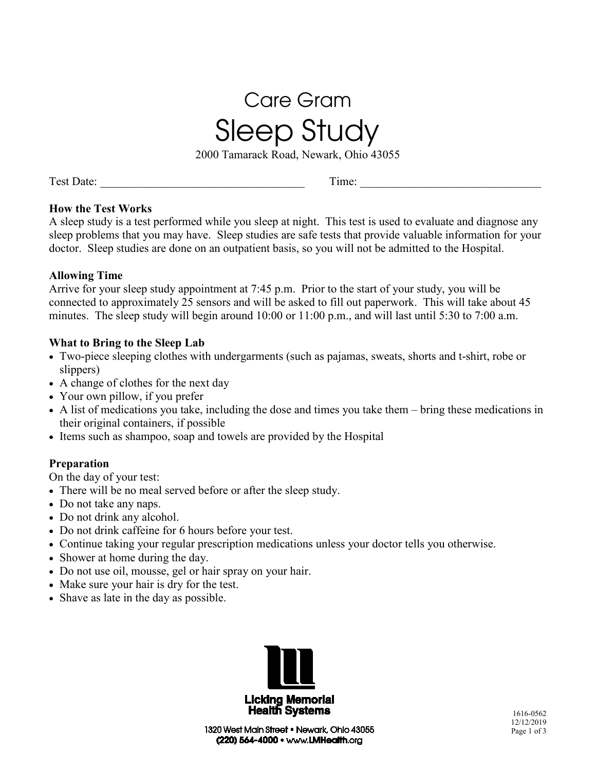# Care Gram Sleep Study

2000 Tamarack Road, Newark, Ohio 43055

Test Date: \_\_\_\_\_\_\_\_\_\_\_\_\_\_\_\_\_\_\_\_\_\_\_\_\_\_\_\_\_\_\_\_\_\_\_ Time: \_\_\_\_\_\_\_\_\_\_\_\_\_\_\_\_\_\_\_\_\_\_\_\_\_\_\_\_\_\_\_

#### **How the Test Works**

A sleep study is a test performed while you sleep at night. This test is used to evaluate and diagnose any sleep problems that you may have. Sleep studies are safe tests that provide valuable information for your doctor. Sleep studies are done on an outpatient basis, so you will not be admitted to the Hospital.

#### **Allowing Time**

Arrive for your sleep study appointment at 7:45 p.m. Prior to the start of your study, you will be connected to approximately 25 sensors and will be asked to fill out paperwork. This will take about 45 minutes. The sleep study will begin around 10:00 or 11:00 p.m., and will last until 5:30 to 7:00 a.m.

#### **What to Bring to the Sleep Lab**

- Two-piece sleeping clothes with undergarments (such as pajamas, sweats, shorts and t-shirt, robe or slippers)
- A change of clothes for the next day
- Your own pillow, if you prefer
- A list of medications you take, including the dose and times you take them bring these medications in their original containers, if possible
- Items such as shampoo, soap and towels are provided by the Hospital

#### **Preparation**

On the day of your test:

- There will be no meal served before or after the sleep study.
- Do not take any naps.
- Do not drink any alcohol.
- Do not drink caffeine for 6 hours before your test.
- Continue taking your regular prescription medications unless your doctor tells you otherwise.
- Shower at home during the day.
- Do not use oil, mousse, gel or hair spray on your hair.
- Make sure your hair is dry for the test.
- Shave as late in the day as possible.

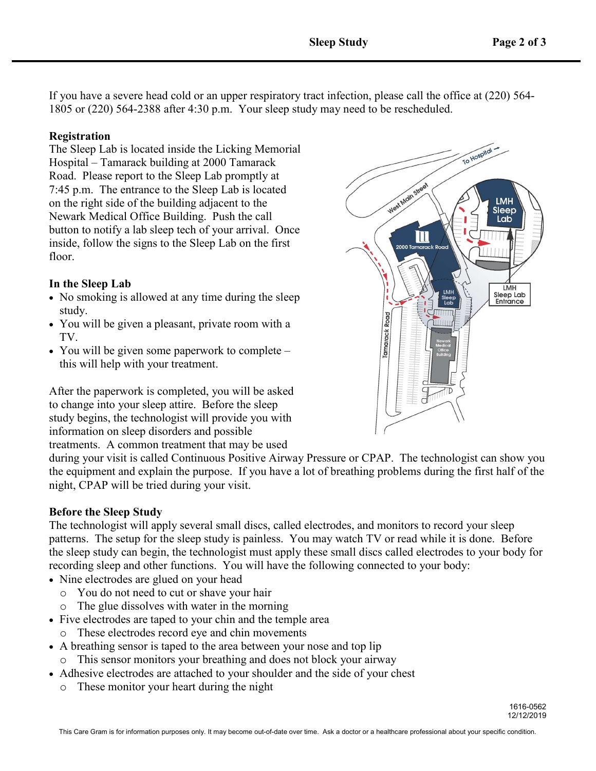If you have a severe head cold or an upper respiratory tract infection, please call the office at (220) 564- 1805 or (220) 564-2388 after 4:30 p.m. Your sleep study may need to be rescheduled.

#### **Registration**

The Sleep Lab is located inside the Licking Memorial Hospital – Tamarack building at 2000 Tamarack Road. Please report to the Sleep Lab promptly at 7:45 p.m. The entrance to the Sleep Lab is located on the right side of the building adjacent to the Newark Medical Office Building. Push the call button to notify a lab sleep tech of your arrival. Once inside, follow the signs to the Sleep Lab on the first floor.

#### **In the Sleep Lab**

- No smoking is allowed at any time during the sleep study.
- You will be given a pleasant, private room with a TV.
- You will be given some paperwork to complete this will help with your treatment.

After the paperwork is completed, you will be asked to change into your sleep attire. Before the sleep study begins, the technologist will provide you with information on sleep disorders and possible treatments. A common treatment that may be used

during your visit is called Continuous Positive Airway Pressure or CPAP. The technologist can show you the equipment and explain the purpose. If you have a lot of breathing problems during the first half of the night, CPAP will be tried during your visit.

#### **Before the Sleep Study**

The technologist will apply several small discs, called electrodes, and monitors to record your sleep patterns. The setup for the sleep study is painless. You may watch TV or read while it is done. Before the sleep study can begin, the technologist must apply these small discs called electrodes to your body for recording sleep and other functions. You will have the following connected to your body:

- Nine electrodes are glued on your head
	- o You do not need to cut or shave your hair
	- o The glue dissolves with water in the morning
- Five electrodes are taped to your chin and the temple area
	- o These electrodes record eye and chin movements
- A breathing sensor is taped to the area between your nose and top lip
	- o This sensor monitors your breathing and does not block your airway
- Adhesive electrodes are attached to your shoulder and the side of your chest
	- o These monitor your heart during the night